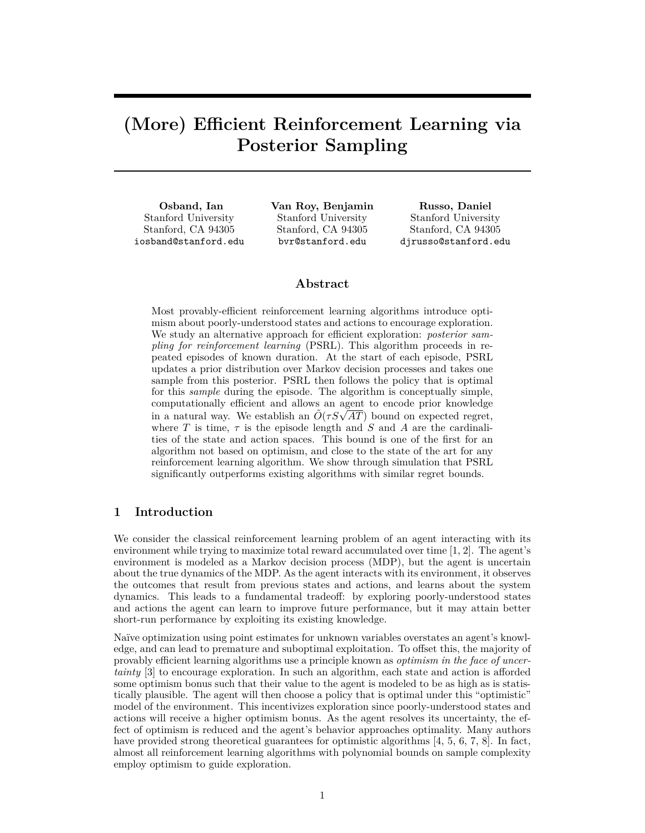# **(More) Efficient Reinforcement Learning via Posterior Sampling**

**Osband, Ian** Stanford University Stanford, CA 94305 iosband@stanford.edu **Van Roy, Benjamin** Stanford University Stanford, CA 94305 bvr@stanford.edu

**Russo, Daniel** Stanford University Stanford, CA 94305 djrusso@stanford.edu

# **Abstract**

Most provably-efficient reinforcement learning algorithms introduce optimism about poorly-understood states and actions to encourage exploration. We study an alternative approach for efficient exploration: *posterior sampling for reinforcement learning* (PSRL). This algorithm proceeds in repeated episodes of known duration. At the start of each episode, PSRL updates a prior distribution over Markov decision processes and takes one sample from this posterior. PSRL then follows the policy that is optimal for this *sample* during the episode. The algorithm is conceptually simple, computationally efficient and allows an agent to encode prior knowledge computationally efficient and allows an agent to encode prior knowledge<br>in a natural way. We establish an  $\tilde{O}(\tau S\sqrt{AT})$  bound on expected regret, where *T* is time,  $\tau$  is the episode length and *S* and *A* are the cardinalities of the state and action spaces. This bound is one of the first for an algorithm not based on optimism, and close to the state of the art for any reinforcement learning algorithm. We show through simulation that PSRL significantly outperforms existing algorithms with similar regret bounds.

# **1 Introduction**

We consider the classical reinforcement learning problem of an agent interacting with its environment while trying to maximize total reward accumulated over time [1, 2]. The agent's environment is modeled as a Markov decision process (MDP), but the agent is uncertain about the true dynamics of the MDP. As the agent interacts with its environment, it observes the outcomes that result from previous states and actions, and learns about the system dynamics. This leads to a fundamental tradeoff: by exploring poorly-understood states and actions the agent can learn to improve future performance, but it may attain better short-run performance by exploiting its existing knowledge.

Naïve optimization using point estimates for unknown variables overstates an agent's knowledge, and can lead to premature and suboptimal exploitation. To offset this, the majority of provably efficient learning algorithms use a principle known as *optimism in the face of uncertainty* [3] to encourage exploration. In such an algorithm, each state and action is afforded some optimism bonus such that their value to the agent is modeled to be as high as is statistically plausible. The agent will then choose a policy that is optimal under this "optimistic" model of the environment. This incentivizes exploration since poorly-understood states and actions will receive a higher optimism bonus. As the agent resolves its uncertainty, the effect of optimism is reduced and the agent's behavior approaches optimality. Many authors have provided strong theoretical guarantees for optimistic algorithms [4, 5, 6, 7, 8]. In fact, almost all reinforcement learning algorithms with polynomial bounds on sample complexity employ optimism to guide exploration.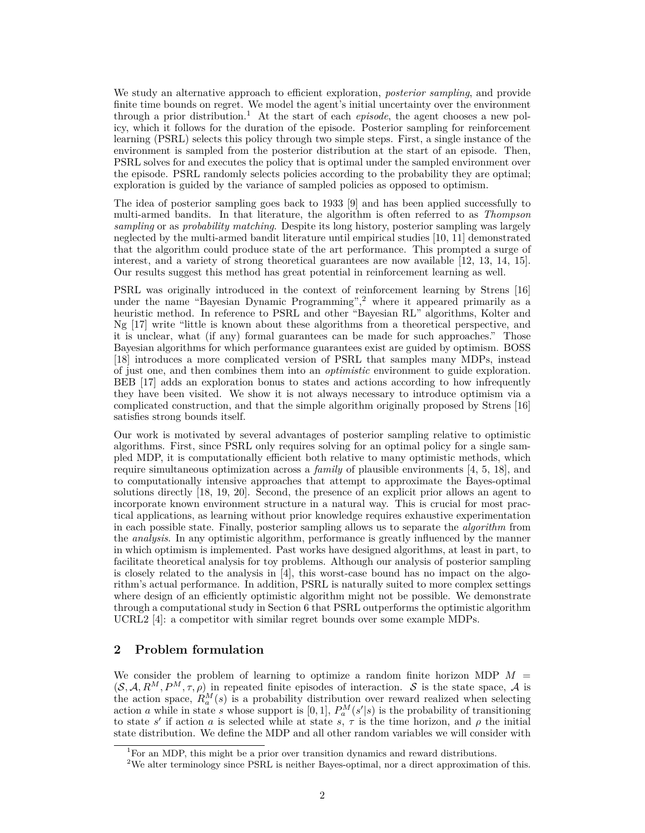We study an alternative approach to efficient exploration, *posterior sampling*, and provide finite time bounds on regret. We model the agent's initial uncertainty over the environment through a prior distribution.<sup>1</sup> At the start of each *episode*, the agent chooses a new policy, which it follows for the duration of the episode. Posterior sampling for reinforcement learning (PSRL) selects this policy through two simple steps. First, a single instance of the environment is sampled from the posterior distribution at the start of an episode. Then, PSRL solves for and executes the policy that is optimal under the sampled environment over the episode. PSRL randomly selects policies according to the probability they are optimal; exploration is guided by the variance of sampled policies as opposed to optimism.

The idea of posterior sampling goes back to 1933 [9] and has been applied successfully to multi-armed bandits. In that literature, the algorithm is often referred to as *Thompson sampling* or as *probability matching*. Despite its long history, posterior sampling was largely neglected by the multi-armed bandit literature until empirical studies [10, 11] demonstrated that the algorithm could produce state of the art performance. This prompted a surge of interest, and a variety of strong theoretical guarantees are now available [12, 13, 14, 15]. Our results suggest this method has great potential in reinforcement learning as well.

PSRL was originally introduced in the context of reinforcement learning by Strens [16] under the name "Bayesian Dynamic Programming",<sup>2</sup> where it appeared primarily as a heuristic method. In reference to PSRL and other "Bayesian RL" algorithms, Kolter and Ng [17] write "little is known about these algorithms from a theoretical perspective, and it is unclear, what (if any) formal guarantees can be made for such approaches." Those Bayesian algorithms for which performance guarantees exist are guided by optimism. BOSS [18] introduces a more complicated version of PSRL that samples many MDPs, instead of just one, and then combines them into an *optimistic* environment to guide exploration. BEB [17] adds an exploration bonus to states and actions according to how infrequently they have been visited. We show it is not always necessary to introduce optimism via a complicated construction, and that the simple algorithm originally proposed by Strens [16] satisfies strong bounds itself.

Our work is motivated by several advantages of posterior sampling relative to optimistic algorithms. First, since PSRL only requires solving for an optimal policy for a single sampled MDP, it is computationally efficient both relative to many optimistic methods, which require simultaneous optimization across a *family* of plausible environments [4, 5, 18], and to computationally intensive approaches that attempt to approximate the Bayes-optimal solutions directly [18, 19, 20]. Second, the presence of an explicit prior allows an agent to incorporate known environment structure in a natural way. This is crucial for most practical applications, as learning without prior knowledge requires exhaustive experimentation in each possible state. Finally, posterior sampling allows us to separate the *algorithm* from the *analysis*. In any optimistic algorithm, performance is greatly influenced by the manner in which optimism is implemented. Past works have designed algorithms, at least in part, to facilitate theoretical analysis for toy problems. Although our analysis of posterior sampling is closely related to the analysis in [4], this worst-case bound has no impact on the algorithm's actual performance. In addition, PSRL is naturally suited to more complex settings where design of an efficiently optimistic algorithm might not be possible. We demonstrate through a computational study in Section 6 that PSRL outperforms the optimistic algorithm UCRL2 [4]: a competitor with similar regret bounds over some example MDPs.

# **2 Problem formulation**

We consider the problem of learning to optimize a random finite horizon MDP  $M =$  $(S, \mathcal{A}, R^M, P^M, \tau, \rho)$  in repeated finite episodes of interaction. S is the state space, A is the action space,  $R_a^M(s)$  is a probability distribution over reward realized when selecting action *a* while in state *s* whose support is [0, 1],  $P_a^M(s'|s)$  is the probability of transitioning to state *s'* if action *a* is selected while at state *s*,  $\tau$  is the time horizon, and  $\rho$  the initial state distribution. We define the MDP and all other random variables we will consider with

<sup>&</sup>lt;sup>1</sup>For an MDP, this might be a prior over transition dynamics and reward distributions.

<sup>&</sup>lt;sup>2</sup>We alter terminology since PSRL is neither Bayes-optimal, nor a direct approximation of this.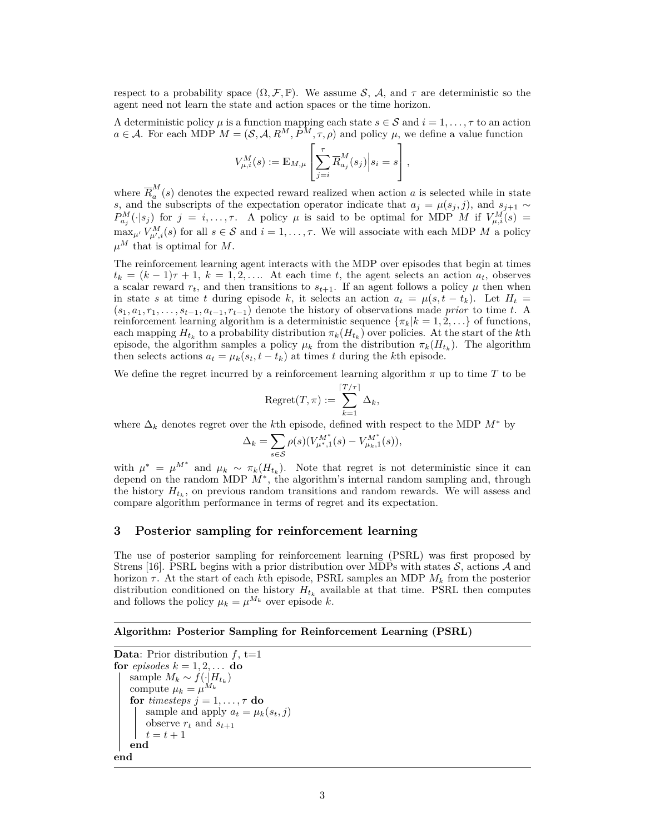respect to a probability space  $(\Omega, \mathcal{F}, \mathbb{P})$ . We assume S, A, and  $\tau$  are deterministic so the agent need not learn the state and action spaces or the time horizon.

A deterministic policy  $\mu$  is a function mapping each state  $s \in \mathcal{S}$  and  $i = 1, \ldots, \tau$  to an action  $a \in \mathcal{A}$ . For each MDP  $M = (\mathcal{S}, \mathcal{A}, R^M, P^M, \tau, \rho)$  and policy  $\mu$ , we define a value function

$$
V_{\mu,i}^M(s) := \mathbb{E}_{M,\mu} \left[ \sum_{j=i}^{\tau} \overline{R}_{a_j}^M(s_j) \Big| s_i = s \right],
$$

where  $\overline{R}^M_a$  $a^{\prime\prime}(s)$  denotes the expected reward realized when action *a* is selected while in state *s*, and the subscripts of the expectation operator indicate that  $a_j = \mu(s_j, j)$ , and  $s_{j+1} \sim$  $P_{a_j}^M(\cdot|s_j)$  for  $j = i, \ldots, \tau$ . A policy  $\mu$  is said to be optimal for MDP *M* if  $V_{\mu,i}^M(s) =$  $\max_{\mu'} V^M_{\mu',i}(s)$  for all  $s \in \mathcal{S}$  and  $i = 1, \ldots, \tau$ . We will associate with each MDP *M* a policy  $\mu^M$  that is optimal for *M*.

The reinforcement learning agent interacts with the MDP over episodes that begin at times  $t_k = (k-1)\tau + 1, k = 1, 2, \ldots$  At each time *t*, the agent selects an action  $a_t$ , observes a scalar reward  $r_t$ , and then transitions to  $s_{t+1}$ . If an agent follows a policy  $\mu$  then when in state *s* at time *t* during episode *k*, it selects an action  $a_t = \mu(s, t - t_k)$ . Let  $H_t =$  $(s_1, a_1, r_1, \ldots, s_{t-1}, a_{t-1}, r_{t-1})$  denote the history of observations made *prior* to time *t*. A reinforcement learning algorithm is a deterministic sequence  $\{\pi_k | k = 1, 2, \ldots\}$  of functions, each mapping  $H_{t_k}$  to a probability distribution  $\pi_k(H_{t_k})$  over policies. At the start of the *k*th episode, the algorithm samples a policy  $\mu_k$  from the distribution  $\pi_k(H_{t_k})$ . The algorithm then selects actions  $a_t = \mu_k(s_t, t - t_k)$  at times *t* during the *k*th episode.

We define the regret incurred by a reinforcement learning algorithm  $\pi$  up to time  $T$  to be

$$
\mathrm{Regret}(T,\pi) := \sum_{k=1}^{\lceil T/\tau \rceil} \Delta_k,
$$

where  $\Delta_k$  denotes regret over the *k*th episode, defined with respect to the MDP  $M^*$  by

$$
\Delta_k = \sum_{s \in \mathcal{S}} \rho(s) (V_{\mu^*,1}^{M^*}(s) - V_{\mu_k,1}^{M^*}(s)),
$$

with  $\mu^* = \mu^{M^*}$  and  $\mu_k \sim \pi_k(H_{t_k})$ . Note that regret is not deterministic since it can depend on the random MDP *M*<sup>∗</sup> , the algorithm's internal random sampling and, through the history  $H_{t_k}$ , on previous random transitions and random rewards. We will assess and compare algorithm performance in terms of regret and its expectation.

# **3 Posterior sampling for reinforcement learning**

The use of posterior sampling for reinforcement learning (PSRL) was first proposed by Strens [16]. PSRL begins with a prior distribution over MDPs with states  $S$ , actions  $A$  and horizon *τ* . At the start of each *k*th episode, PSRL samples an MDP *M<sup>k</sup>* from the posterior distribution conditioned on the history  $H_{t_k}$  available at that time. PSRL then computes and follows the policy  $\mu_k = \mu^{M_k}$  over episode *k*.

#### **Algorithm: Posterior Sampling for Reinforcement Learning (PSRL)**

```
Data: Prior distribution f, t=1for episodes k = 1, 2, \ldots do
    sample M_k \sim f(\cdot)H_{t_k}compute \mu_k = \mu^{M_k}for timesteps j = 1, \ldots, \tau do
       sample and apply a_t = \mu_k(s_t, j)observe r_t and s_{t+1}t = t + 1end
end
```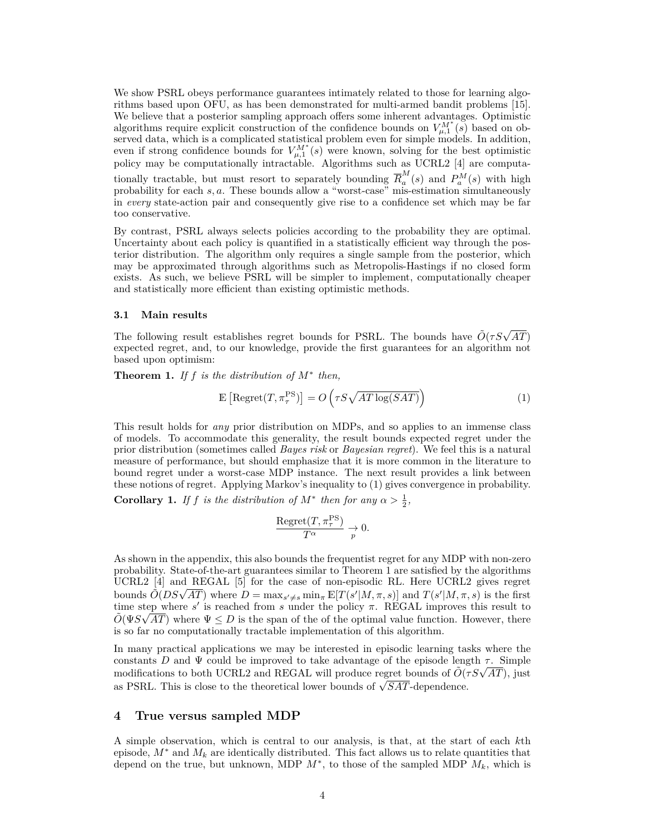We show PSRL obeys performance guarantees intimately related to those for learning algorithms based upon OFU, as has been demonstrated for multi-armed bandit problems [15]. We believe that a posterior sampling approach offers some inherent advantages. Optimistic algorithms require explicit construction of the confidence bounds on  $V_{\mu,1}^{M^*}(s)$  based on observed data, which is a complicated statistical problem even for simple models. In addition, even if strong confidence bounds for  $V_{\mu,1}^{M^*}(s)$  were known, solving for the best optimistic policy may be computationally intractable. Algorithms such as UCRL2 [4] are computationally tractable, but must resort to separately bounding  $\overline{R}_{a}^{M}$  $a_a^M(s)$  and  $P_a^M(s)$  with high probability for each *s, a*. These bounds allow a "worst-case" mis-estimation simultaneously in *every* state-action pair and consequently give rise to a confidence set which may be far too conservative.

By contrast, PSRL always selects policies according to the probability they are optimal. Uncertainty about each policy is quantified in a statistically efficient way through the posterior distribution. The algorithm only requires a single sample from the posterior, which may be approximated through algorithms such as Metropolis-Hastings if no closed form exists. As such, we believe PSRL will be simpler to implement, computationally cheaper and statistically more efficient than existing optimistic methods.

#### **3.1 Main results**

The following result establishes regret bounds for PSRL. The bounds have  $\tilde{O}(\tau S\sqrt{AT})$ expected regret, and, to our knowledge, provide the first guarantees for an algorithm not based upon optimism:

**Theorem 1.** *If*  $f$  *is the distribution of*  $M^*$  *then,* 

$$
\mathbb{E}\left[\text{Regret}(T,\pi^{\text{PS}}_{\tau})\right] = O\left(\tau S \sqrt{AT\log(SAT)}\right) \tag{1}
$$

This result holds for *any* prior distribution on MDPs, and so applies to an immense class of models. To accommodate this generality, the result bounds expected regret under the prior distribution (sometimes called *Bayes risk* or *Bayesian regret*). We feel this is a natural measure of performance, but should emphasize that it is more common in the literature to bound regret under a worst-case MDP instance. The next result provides a link between these notions of regret. Applying Markov's inequality to (1) gives convergence in probability.

**Corollary 1.** *If f is the distribution of*  $M^*$  *then for any*  $\alpha > \frac{1}{2}$ *,* 

$$
\frac{\text{Regret}(T, \pi^{\text{PS}}_{\tau})}{T^{\alpha}} \xrightarrow{p} 0.
$$

As shown in the appendix, this also bounds the frequentist regret for any MDP with non-zero probability. State-of-the-art guarantees similar to Theorem 1 are satisfied by the algorithms UCRL2 [4] and REGAL [5] for the case of non-episodic RL. Here UCRL2 gives regret  $OCHL2$  [4] and **REGAL** [9] for the case of non-episodic RL. Here OCRL2 gives regret bounds  $\tilde{O}(DS\sqrt{AT})$  where  $D = \max_{s'\neq s} \min_{\pi} \mathbb{E}[T(s'|M, \pi, s)]$  and  $T(s'|M, \pi, s)$  is the first time step where *s'* is reached from *s* under the policy  $\pi$ . REGAL improves this result to  $\tilde{O}(\Psi S \sqrt{AT})$  where  $\Psi \leq D$  is the span of the of the optimal value function. However, there is so far no computationally tractable implementation of this algorithm.

In many practical applications we may be interested in episodic learning tasks where the constants *D* and  $\Psi$  could be improved to take advantage of the episode length  $\tau$ . Simple constants  $D$  and  $\Psi$  could be improved to take advantage of the episode length  $\tau$ . Simple modifications to both UCRL2 and REGAL will produce regret bounds of  $\tilde{O}(\tau S\sqrt{AT})$ , just modifications to both UCRL2 and REGAL will produce regret bounds of  $Q\gamma$  as PSRL. This is close to the theoretical lower bounds of  $\sqrt{SAT}$ -dependence.

# **4 True versus sampled MDP**

A simple observation, which is central to our analysis, is that, at the start of each *k*th episode,  $M^*$  and  $M_k$  are identically distributed. This fact allows us to relate quantities that depend on the true, but unknown, MDP  $M^*$ , to those of the sampled MDP  $M_k$ , which is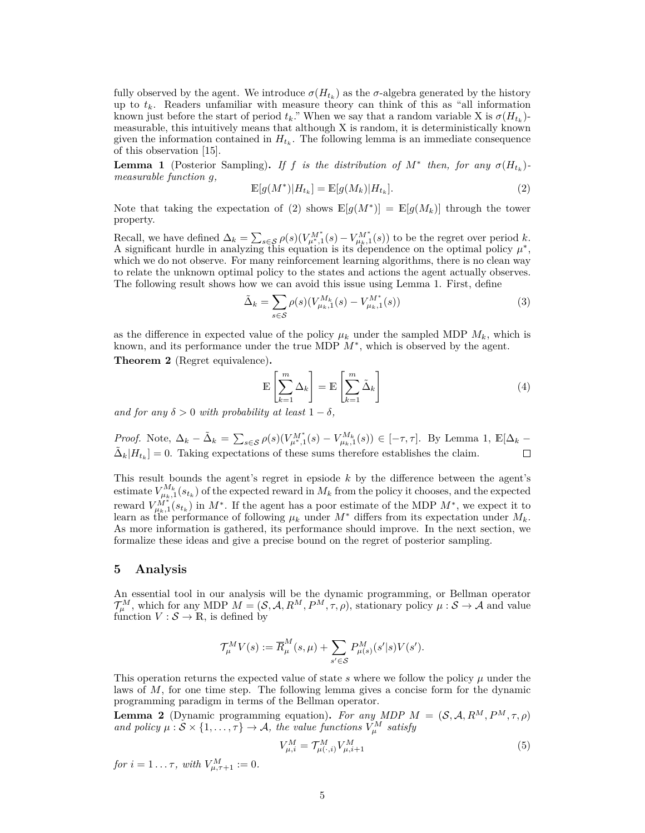fully observed by the agent. We introduce  $\sigma(H_{t_k})$  as the  $\sigma$ -algebra generated by the history up to  $t_k$ . Readers unfamiliar with measure theory can think of this as "all information" known just before the start of period  $t_k$ ." When we say that a random variable X is  $\sigma(H_{t_k})$ measurable, this intuitively means that although X is random, it is deterministically known given the information contained in  $H_{t_k}$ . The following lemma is an immediate consequence of this observation [15].

**Lemma 1** (Posterior Sampling). If *f is the distribution of*  $M^*$  *then, for any*  $\sigma(H_{t_k})$ *measurable function g,*

$$
\mathbb{E}[g(M^*)|H_{t_k}] = \mathbb{E}[g(M_k)|H_{t_k}].
$$
\n(2)

Note that taking the expectation of (2) shows  $\mathbb{E}[g(M^*)] = \mathbb{E}[g(M_k)]$  through the tower property.

Recall, we have defined  $\Delta_k = \sum_{s \in \mathcal{S}} \rho(s) (V_{\mu^*,1}^{M^*}(s) - V_{\mu_k,1}^{M^*}(s))$  to be the regret over period *k*. A significant hurdle in analyzing this equation is its dependence on the optimal policy  $\mu^*$ , which we do not observe. For many reinforcement learning algorithms, there is no clean way to relate the unknown optimal policy to the states and actions the agent actually observes. The following result shows how we can avoid this issue using Lemma 1. First, define

$$
\tilde{\Delta}_k = \sum_{s \in \mathcal{S}} \rho(s) (V_{\mu_k,1}^{M_k}(s) - V_{\mu_k,1}^{M^*}(s))
$$
\n(3)

as the difference in expected value of the policy  $\mu_k$  under the sampled MDP  $M_k$ , which is known, and its performance under the true MDP  $M^*$ , which is observed by the agent.

**Theorem 2** (Regret equivalence)**.**

$$
\mathbb{E}\left[\sum_{k=1}^{m} \Delta_k\right] = \mathbb{E}\left[\sum_{k=1}^{m} \tilde{\Delta}_k\right]
$$
\n(4)

*and for any*  $\delta > 0$  *with probability at least*  $1 - \delta$ *,* 

*Proof.* Note,  $\Delta_k - \tilde{\Delta}_k = \sum_{s \in \mathcal{S}} \rho(s) (V_{\mu^*,1}^{M^*}(s) - V_{\mu_k,1}^{M_k}(s)) \in [-\tau, \tau]$ . By Lemma 1,  $\mathbb{E}[\Delta_k \tilde{\Delta}_k|H_{t_k}]=0$ . Taking expectations of these sums therefore establishes the claim.  $\Box$ 

This result bounds the agent's regret in epsiode *k* by the difference between the agent's estimate  $V_{\mu_k,1}^{M_k}(s_{t_k})$  of the expected reward in  $M_k$  from the policy it chooses, and the expected reward  $V_{\mu_k,1}^{M^*}(s_{t_k})$  in  $M^*$ . If the agent has a poor estimate of the MDP  $M^*$ , we expect it to learn as the performance of following  $\mu_k$  under  $M^*$  differs from its expectation under  $M_k$ . As more information is gathered, its performance should improve. In the next section, we formalize these ideas and give a precise bound on the regret of posterior sampling.

#### **5 Analysis**

An essential tool in our analysis will be the dynamic programming, or Bellman operator  $\mathcal{T}_{\mu}^{M}$ , which for any MDP  $M = (\mathcal{S}, \mathcal{A}, R^{M}, P^{M}, \tau, \rho)$ , stationary policy  $\mu : \mathcal{S} \to \mathcal{A}$  and value function  $V : \mathcal{S} \to \mathbb{R}$ , is defined by

$$
\mathcal{T}_{\mu}^{M}V(s) := \overline{R}_{\mu}^{M}(s,\mu) + \sum_{s' \in \mathcal{S}} P_{\mu(s)}^{M}(s'|s)V(s').
$$

This operation returns the expected value of state  $s$  where we follow the policy  $\mu$  under the laws of *M*, for one time step. The following lemma gives a concise form for the dynamic programming paradigm in terms of the Bellman operator.

**Lemma 2** (Dynamic programming equation). For any MDP  $M = (\mathcal{S}, \mathcal{A}, R^M, P^M, \tau, \rho)$ *and policy*  $\mu : \mathcal{S} \times \{1, \ldots, \tau\} \to \mathcal{A}$ , the value functions  $V^M_\mu$  satisfy

$$
V_{\mu,i}^M = \mathcal{T}_{\mu(\cdot,i)}^M V_{\mu,i+1}^M \tag{5}
$$

*for*  $i = 1 ... \tau$ , with  $V_{\mu, \tau+1}^M := 0$ .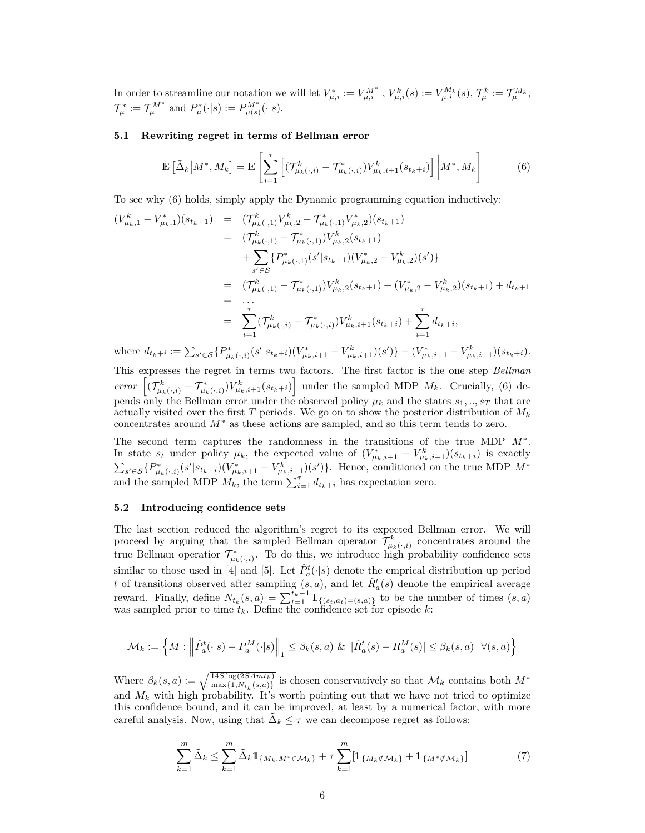In order to streamline our notation we will let  $V_{\mu,i}^* := V_{\mu,i}^{M^*}$ ,  $V_{\mu,i}^k(s) := V_{\mu,i}^{M_k}(s)$ ,  $\mathcal{T}_{\mu}^k := \mathcal{T}_{\mu}^{M_k}$ ,  $\mathcal{T}_{\mu}^* := \mathcal{T}_{\mu}^{M^*}$  and  $P_{\mu}^*(\cdot|s) := P_{\mu(s)}^{M^*}(\cdot|s)$ .

#### **5.1 Rewriting regret in terms of Bellman error**

$$
\mathbb{E}\left[\tilde{\Delta}_k \middle| M^*, M_k\right] = \mathbb{E}\left[\sum_{i=1}^{\tau} \left[ (\mathcal{T}^k_{\mu_k(\cdot,i)} - \mathcal{T}^*_{\mu_k(\cdot,i)}) V^k_{\mu_k,i+1}(s_{t_k+i}) \right] \middle| M^*, M_k\right] \tag{6}
$$

To see why (6) holds, simply apply the Dynamic programming equation inductively:

$$
(V_{\mu_k,1}^k - V_{\mu_k,1}^*) (s_{t_k+1}) = (T_{\mu_k(\cdot,1)}^k V_{\mu_k,2}^k - T_{\mu_k(\cdot,1)}^* V_{\mu_k,2}^*) (s_{t_k+1})
$$
  
\n
$$
= (T_{\mu_k(\cdot,1)}^k - T_{\mu_k(\cdot,1)}^*) V_{\mu_k,2}^k (s_{t_k+1})
$$
  
\n
$$
+ \sum_{s' \in \mathcal{S}} \{P_{\mu_k(\cdot,1)}^* (s'|s_{t_k+1}) (V_{\mu_k,2}^* - V_{\mu_k,2}^k) (s')\}
$$
  
\n
$$
= (T_{\mu_k(\cdot,1)}^k - T_{\mu_k(\cdot,1)}^*) V_{\mu_k,2}^k (s_{t_k+1}) + (V_{\mu_k,2}^* - V_{\mu_k,2}^k) (s_{t_k+1}) + d_{t_k+1}
$$
  
\n
$$
= \dots
$$
  
\n
$$
= \sum_{i=1}^r (T_{\mu_k(\cdot,i)}^k - T_{\mu_k(\cdot,i)}^*) V_{\mu_k,i+1}^k (s_{t_k+i}) + \sum_{i=1}^r d_{t_k+i},
$$

where  $d_{t_k+i} := \sum_{s' \in \mathcal{S}} \{P^*_{\mu_k(\cdot,i)}(s'|s_{t_k+i})(V^*_{\mu_k,i+1} - V^k_{\mu_k,i+1})(s')\} - (V^*_{\mu_k,i+1} - V^k_{\mu_k,i+1})(s_{t_k+i}).$ 

This expresses the regret in terms two factors. The first factor is the one step *Bellman* error  $[(\mathcal{T}^k_{\mu_k(\cdot,i)} - \mathcal{T}^*_{\mu_k(\cdot,i)})V^k_{\mu_k,i+1}(s_{t_k+i})]$  under the sampled MDP  $M_k$ . Crucially, (6) depends only the Bellman error under the observed policy  $\mu_k$  and the states  $s_1, ..., s_T$  that are actually visited over the first *T* periods. We go on to show the posterior distribution of *M<sup>k</sup>* concentrates around *M*<sup>∗</sup> as these actions are sampled, and so this term tends to zero.

The second term captures the randomness in the transitions of the true MDP *M*<sup>∗</sup> . In state  $s_t$  under policy  $\mu_k$ , the expected value of  $(V^*_{\mu_k,i+1} - V^k_{\mu_k,i+1})(s_{t_k+i})$  is exactly  $\sum_{s'\in\mathcal{S}}\{P^*_{\mu_k(\cdot,i)}(s'|s_{t_k+i})(V^*_{\mu_k,i+1}-V^k_{\mu_k,i+1})(s')\}$ . Hence, conditioned on the true MDP  $M^*$ and the sampled MDP  $M_k$ , the term  $\sum_{i=1}^{\tau} d_{t_k+i}$  has expectation zero.

#### **5.2 Introducing confidence sets**

The last section reduced the algorithm's regret to its expected Bellman error. We will proceed by arguing that the sampled Bellman operator  $\mathcal{T}^k_{\mu_k(\cdot,i)}$  concentrates around the true Bellman operatior  $\mathcal{T}^*_{\mu_k(\cdot,i)}$ . To do this, we introduce high probability confidence sets similar to those used in [4] and [5]. Let  $\hat{P}^t_a(\cdot|s)$  denote the emprical distribution up period *t* of transitions observed after sampling  $(s, a)$ , and let  $\hat{R}^t_a(s)$  denote the empirical average reward. Finally, define  $N_{t_k}(s, a) = \sum_{t=1}^{t_k-1} 1\!\!1_{\{(s_t, a_t) = (s,a)\}}$  to be the number of times  $(s, a)$ was sampled prior to time *tk*. Define the confidence set for episode *k*:

$$
\mathcal{M}_k := \left\{ M : \left\| \hat{P}_a^t(\cdot|s) - P_a^M(\cdot|s) \right\|_1 \leq \beta_k(s, a) \& \left| \hat{R}_a^t(s) - R_a^M(s) \right| \leq \beta_k(s, a) \quad \forall (s, a) \right\}
$$

Where  $\beta_k(s, a) := \sqrt{\frac{14S \log(2SAmt_k)}{\max\{1, N_{t_k}(s, a)\}}}$  is chosen conservatively so that  $\mathcal{M}_k$  contains both  $M^*$ and  $M_k$  with high probability. It's worth pointing out that we have not tried to optimize this confidence bound, and it can be improved, at least by a numerical factor, with more careful analysis. Now, using that  $\tilde{\Delta}_k \leq \tau$  we can decompose regret as follows:

$$
\sum_{k=1}^{m} \tilde{\Delta}_k \le \sum_{k=1}^{m} \tilde{\Delta}_k \mathbb{1}_{\{M_k, M^* \in \mathcal{M}_k\}} + \tau \sum_{k=1}^{m} [\mathbb{1}_{\{M_k \notin \mathcal{M}_k\}} + \mathbb{1}_{\{M^* \notin \mathcal{M}_k\}}] \tag{7}
$$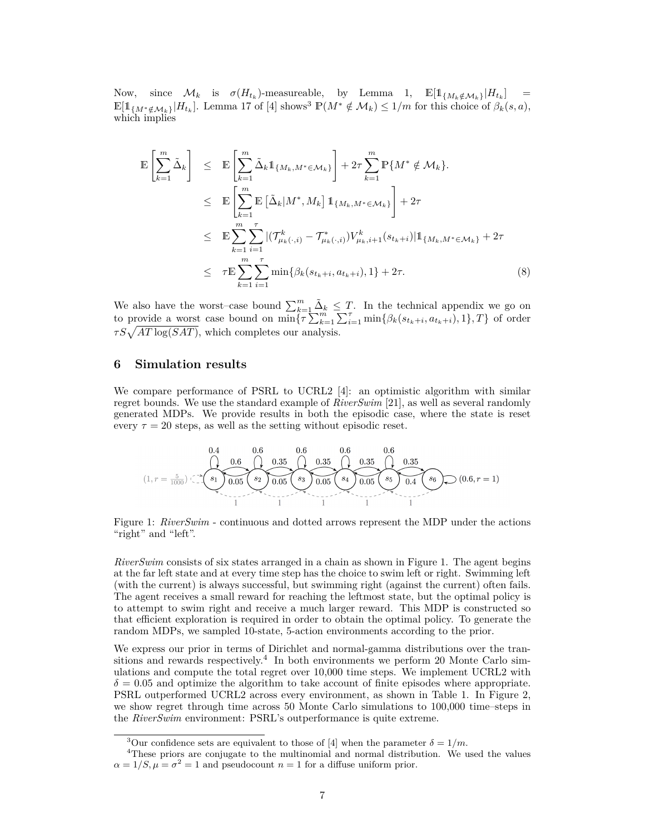Now, since  $\mathcal{M}_k$  is  $\sigma(H_{t_k})$ -measureable, by Lemma 1,  $\mathbb{E}[\mathbb{1}_{\{M_k \notin \mathcal{M}_k\}}|H_{t_k}] =$  $\mathbb{E}[\mathbb{1}_{\{M^*\notin\mathcal{M}_k\}}|H_{t_k}]$ . Lemma 17 of [4] shows<sup>3</sup>  $\mathbb{P}(M^*\notin\mathcal{M}_k) \leq 1/m$  for this choice of  $\beta_k(s,a)$ , which implies

$$
\mathbb{E}\left[\sum_{k=1}^{m} \tilde{\Delta}_{k}\right] \leq \mathbb{E}\left[\sum_{k=1}^{m} \tilde{\Delta}_{k} \mathbb{1}_{\{M_{k}, M^{*} \in \mathcal{M}_{k}\}}\right] + 2\tau \sum_{k=1}^{m} \mathbb{P}\{M^{*} \notin \mathcal{M}_{k}\}.
$$
\n
$$
\leq \mathbb{E}\left[\sum_{k=1}^{m} \mathbb{E}\left[\tilde{\Delta}_{k} | M^{*}, M_{k}\right] \mathbb{1}_{\{M_{k}, M^{*} \in \mathcal{M}_{k}\}}\right] + 2\tau
$$
\n
$$
\leq \mathbb{E}\sum_{k=1}^{m} \sum_{i=1}^{r} |(\mathcal{T}^{k}_{\mu_{k}(\cdot, i)} - \mathcal{T}^{*}_{\mu_{k}(\cdot, i)}) V^{k}_{\mu_{k}, i+1}(s_{t_{k}+i})| \mathbb{1}_{\{M_{k}, M^{*} \in \mathcal{M}_{k}\}} + 2\tau
$$
\n
$$
\leq \tau \mathbb{E}\sum_{k=1}^{m} \sum_{i=1}^{r} \min\{\beta_{k}(s_{t_{k}+i}, a_{t_{k}+i}), 1\} + 2\tau.
$$
\n(8)

We also have the worst–case bound  $\sum_{k=1}^{m} \tilde{\Delta}_k \leq T$ . In the technical appendix we go on to provide a worst case bound on  $\min{\lbrace \tau \sum_{k=1}^{m} \sum_{i=1}^{m} \min{\lbrace \beta_k(s_{t_k+i}, a_{t_k+i}), 1 \rbrace, T \rbrace}$  of order  $\tau S \sqrt{AT \log(SAT)}$ , which completes our analysis.

## **6 Simulation results**

We compare performance of PSRL to UCRL2 [4]: an optimistic algorithm with similar regret bounds. We use the standard example of *RiverSwim* [21], as well as several randomly generated MDPs. We provide results in both the episodic case, where the state is reset every  $\tau = 20$  steps, as well as the setting without episodic reset.

$$
(1, r = \frac{5}{1000}) \underbrace{ \underbrace{0.4}_{\text{ } 5 \text{ }} \underbrace{0.6}_{\text{ } 0.05 \text{ }} \underbrace{0.35}_{\text{ } 0.05 \text{ }} \underbrace{0.35}_{\text{ } 0.05 \text{ }} \underbrace{0.35}_{\text{ } 0.05 \text{ }} \underbrace{0.35}_{\text{ } 0.05 \text{ }} \underbrace{0.35}_{\text{ } 0.05 \text{ }} \underbrace{0.35}_{\text{ } 0.4 \text{ }} \underbrace{0.35}_{\text{ } 0.4 \text{ }} \underbrace{0.35}_{\text{ } 0.4 \text{ }} \underbrace{0.35}_{\text{ } 0.4 \text{ }} \underbrace{0.6}_{\text{ } 0.6 \text{ } r = 1)}
$$

Figure 1: *RiverSwim* - continuous and dotted arrows represent the MDP under the actions "right" and "left".

*RiverSwim* consists of six states arranged in a chain as shown in Figure 1. The agent begins at the far left state and at every time step has the choice to swim left or right. Swimming left (with the current) is always successful, but swimming right (against the current) often fails. The agent receives a small reward for reaching the leftmost state, but the optimal policy is to attempt to swim right and receive a much larger reward. This MDP is constructed so that efficient exploration is required in order to obtain the optimal policy. To generate the random MDPs, we sampled 10-state, 5-action environments according to the prior.

We express our prior in terms of Dirichlet and normal-gamma distributions over the transitions and rewards respectively.<sup>4</sup> In both environments we perform 20 Monte Carlo simulations and compute the total regret over 10,000 time steps. We implement UCRL2 with  $\delta = 0.05$  and optimize the algorithm to take account of finite episodes where appropriate. PSRL outperformed UCRL2 across every environment, as shown in Table 1. In Figure 2, we show regret through time across 50 Monte Carlo simulations to 100,000 time–steps in the *RiverSwim* environment: PSRL's outperformance is quite extreme.

<sup>&</sup>lt;sup>3</sup>Our confidence sets are equivalent to those of [4] when the parameter  $\delta = 1/m$ .

<sup>4</sup>These priors are conjugate to the multinomial and normal distribution. We used the values  $\alpha = 1/S, \mu = \sigma^2 = 1$  and pseudocount  $n = 1$  for a diffuse uniform prior.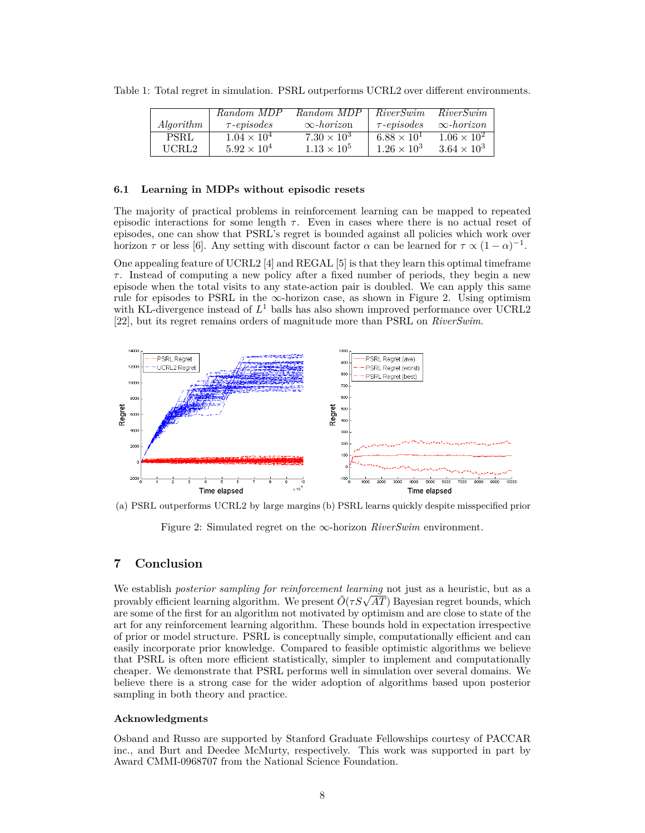|                  | Random MDP           | Random MDP           | <i>RiverSwim</i>     | RiverSwim            |
|------------------|----------------------|----------------------|----------------------|----------------------|
| <i>Algorithm</i> | $\tau$ -episodes     | $\infty$ -horizon    | $\tau$ -episodes     | $\infty$ -horizon    |
| <b>PSRL</b>      | $1.04 \times 10^{4}$ | $7.30 \times 10^3$   | $6.88 \times 10^{1}$ | $1.06 \times 10^{2}$ |
| UCRL2            | $5.92 \times 10^{4}$ | $1.13 \times 10^{5}$ | $1.26 \times 10^3$   | $3.64 \times 10^{3}$ |

Table 1: Total regret in simulation. PSRL outperforms UCRL2 over different environments.

# **6.1 Learning in MDPs without episodic resets**

The majority of practical problems in reinforcement learning can be mapped to repeated episodic interactions for some length  $\tau$ . Even in cases where there is no actual reset of episodes, one can show that PSRL's regret is bounded against all policies which work over horizon  $\tau$  or less [6]. Any setting with discount factor  $\alpha$  can be learned for  $\tau \propto (1-\alpha)^{-1}$ .

One appealing feature of UCRL2 [4] and REGAL [5] is that they learn this optimal timeframe *τ* . Instead of computing a new policy after a fixed number of periods, they begin a new episode when the total visits to any state-action pair is doubled. We can apply this same rule for episodes to PSRL in the  $\infty$ -horizon case, as shown in Figure 2. Using optimism with KL-divergence instead of  $L^1$  balls has also shown improved performance over UCRL2 [22], but its regret remains orders of magnitude more than PSRL on *RiverSwim*.



(a) PSRL outperforms UCRL2 by large margins (b) PSRL learns quickly despite misspecified prior

Figure 2: Simulated regret on the ∞-horizon *RiverSwim* environment.

# **7 Conclusion**

We establish *posterior sampling for reinforcement learning* not just as a heuristic, but as a over establish *posterior sampling for reinforcement learning* not just as a neuristic, but as a provably efficient learning algorithm. We present  $\tilde{O}(\tau S \sqrt{AT})$  Bayesian regret bounds, which are some of the first for an algorithm not motivated by optimism and are close to state of the art for any reinforcement learning algorithm. These bounds hold in expectation irrespective of prior or model structure. PSRL is conceptually simple, computationally efficient and can easily incorporate prior knowledge. Compared to feasible optimistic algorithms we believe that PSRL is often more efficient statistically, simpler to implement and computationally cheaper. We demonstrate that PSRL performs well in simulation over several domains. We believe there is a strong case for the wider adoption of algorithms based upon posterior sampling in both theory and practice.

## **Acknowledgments**

Osband and Russo are supported by Stanford Graduate Fellowships courtesy of PACCAR inc., and Burt and Deedee McMurty, respectively. This work was supported in part by Award CMMI-0968707 from the National Science Foundation.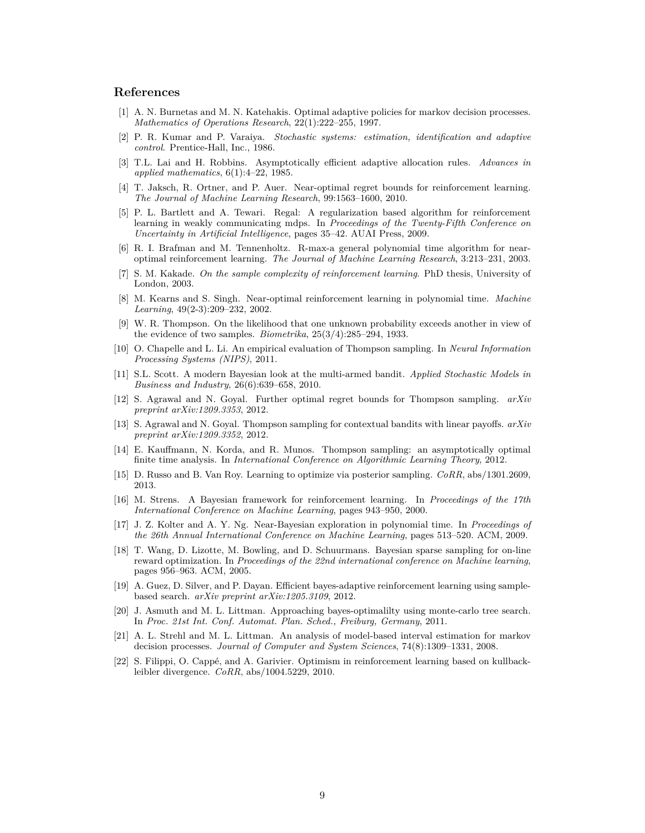# **References**

- [1] A. N. Burnetas and M. N. Katehakis. Optimal adaptive policies for markov decision processes. *Mathematics of Operations Research*, 22(1):222–255, 1997.
- [2] P. R. Kumar and P. Varaiya. *Stochastic systems: estimation, identification and adaptive control*. Prentice-Hall, Inc., 1986.
- [3] T.L. Lai and H. Robbins. Asymptotically efficient adaptive allocation rules. *Advances in applied mathematics*, 6(1):4–22, 1985.
- [4] T. Jaksch, R. Ortner, and P. Auer. Near-optimal regret bounds for reinforcement learning. *The Journal of Machine Learning Research*, 99:1563–1600, 2010.
- [5] P. L. Bartlett and A. Tewari. Regal: A regularization based algorithm for reinforcement learning in weakly communicating mdps. In *Proceedings of the Twenty-Fifth Conference on Uncertainty in Artificial Intelligence*, pages 35–42. AUAI Press, 2009.
- [6] R. I. Brafman and M. Tennenholtz. R-max-a general polynomial time algorithm for nearoptimal reinforcement learning. *The Journal of Machine Learning Research*, 3:213–231, 2003.
- [7] S. M. Kakade. *On the sample complexity of reinforcement learning*. PhD thesis, University of London, 2003.
- [8] M. Kearns and S. Singh. Near-optimal reinforcement learning in polynomial time. *Machine Learning*, 49(2-3):209–232, 2002.
- [9] W. R. Thompson. On the likelihood that one unknown probability exceeds another in view of the evidence of two samples. *Biometrika*, 25(3/4):285–294, 1933.
- [10] O. Chapelle and L. Li. An empirical evaluation of Thompson sampling. In *Neural Information Processing Systems (NIPS)*, 2011.
- [11] S.L. Scott. A modern Bayesian look at the multi-armed bandit. *Applied Stochastic Models in Business and Industry*, 26(6):639–658, 2010.
- [12] S. Agrawal and N. Goyal. Further optimal regret bounds for Thompson sampling. *arXiv preprint arXiv:1209.3353*, 2012.
- [13] S. Agrawal and N. Goyal. Thompson sampling for contextual bandits with linear payoffs. *arXiv preprint arXiv:1209.3352*, 2012.
- [14] E. Kauffmann, N. Korda, and R. Munos. Thompson sampling: an asymptotically optimal finite time analysis. In *International Conference on Algorithmic Learning Theory*, 2012.
- [15] D. Russo and B. Van Roy. Learning to optimize via posterior sampling. *CoRR*, abs/1301.2609, 2013.
- [16] M. Strens. A Bayesian framework for reinforcement learning. In *Proceedings of the 17th International Conference on Machine Learning*, pages 943–950, 2000.
- [17] J. Z. Kolter and A. Y. Ng. Near-Bayesian exploration in polynomial time. In *Proceedings of the 26th Annual International Conference on Machine Learning*, pages 513–520. ACM, 2009.
- [18] T. Wang, D. Lizotte, M. Bowling, and D. Schuurmans. Bayesian sparse sampling for on-line reward optimization. In *Proceedings of the 22nd international conference on Machine learning*, pages 956–963. ACM, 2005.
- [19] A. Guez, D. Silver, and P. Dayan. Efficient bayes-adaptive reinforcement learning using samplebased search. *arXiv preprint arXiv:1205.3109*, 2012.
- [20] J. Asmuth and M. L. Littman. Approaching bayes-optimalilty using monte-carlo tree search. In *Proc. 21st Int. Conf. Automat. Plan. Sched., Freiburg, Germany*, 2011.
- [21] A. L. Strehl and M. L. Littman. An analysis of model-based interval estimation for markov decision processes. *Journal of Computer and System Sciences*, 74(8):1309–1331, 2008.
- [22] S. Filippi, O. Cappé, and A. Garivier. Optimism in reinforcement learning based on kullbackleibler divergence. *CoRR*, abs/1004.5229, 2010.